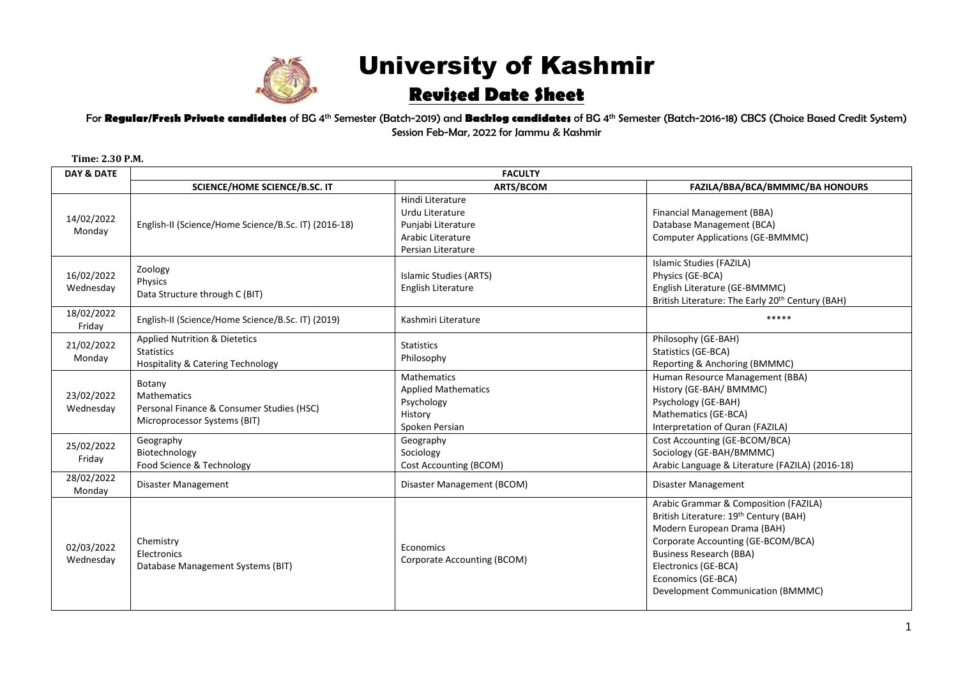

## University of Kashmir **Revised Date Sheet**

For **Regular/Fresh Private candidates** of BG 4 th Semester (Batch-2019) and **Backlog candidates** of BG 4 th Semester (Batch-2016-18) CBCS (Choice Based Credit System) Session Feb-Mar, 2022 for Jammu & Kashmir

| <b>DAY &amp; DATE</b>   | <b>FACULTY</b>                                                                                                |                                                                                                      |                                                                                                                                                                                                                                                                           |  |  |
|-------------------------|---------------------------------------------------------------------------------------------------------------|------------------------------------------------------------------------------------------------------|---------------------------------------------------------------------------------------------------------------------------------------------------------------------------------------------------------------------------------------------------------------------------|--|--|
|                         | <b>SCIENCE/HOME SCIENCE/B.SC. IT</b>                                                                          | <b>ARTS/BCOM</b>                                                                                     | FAZILA/BBA/BCA/BMMMC/BA HONOURS                                                                                                                                                                                                                                           |  |  |
| 14/02/2022<br>Monday    | English-II (Science/Home Science/B.Sc. IT) (2016-18)                                                          | Hindi Literature<br>Urdu Literature<br>Punjabi Literature<br>Arabic Literature<br>Persian Literature | Financial Management (BBA)<br>Database Management (BCA)<br><b>Computer Applications (GE-BMMMC)</b>                                                                                                                                                                        |  |  |
| 16/02/2022<br>Wednesday | Zoology<br>Physics<br>Data Structure through C (BIT)                                                          | Islamic Studies (ARTS)<br>English Literature                                                         | Islamic Studies (FAZILA)<br>Physics (GE-BCA)<br>English Literature (GE-BMMMC)<br>British Literature: The Early 20 <sup>th</sup> Century (BAH)                                                                                                                             |  |  |
| 18/02/2022<br>Friday    | English-II (Science/Home Science/B.Sc. IT) (2019)                                                             | Kashmiri Literature                                                                                  | *****                                                                                                                                                                                                                                                                     |  |  |
| 21/02/2022<br>Monday    | <b>Applied Nutrition &amp; Dietetics</b><br><b>Statistics</b><br><b>Hospitality &amp; Catering Technology</b> | <b>Statistics</b><br>Philosophy                                                                      | Philosophy (GE-BAH)<br>Statistics (GE-BCA)<br>Reporting & Anchoring (BMMMC)                                                                                                                                                                                               |  |  |
| 23/02/2022<br>Wednesday | Botany<br>Mathematics<br>Personal Finance & Consumer Studies (HSC)<br>Microprocessor Systems (BIT)            | <b>Mathematics</b><br><b>Applied Mathematics</b><br>Psychology<br>History<br>Spoken Persian          | Human Resource Management (BBA)<br>History (GE-BAH/ BMMMC)<br>Psychology (GE-BAH)<br>Mathematics (GE-BCA)<br>Interpretation of Quran (FAZILA)                                                                                                                             |  |  |
| 25/02/2022<br>Friday    | Geography<br>Biotechnology<br>Food Science & Technology                                                       | Geography<br>Sociology<br>Cost Accounting (BCOM)                                                     | Cost Accounting (GE-BCOM/BCA)<br>Sociology (GE-BAH/BMMMC)<br>Arabic Language & Literature (FAZILA) (2016-18)                                                                                                                                                              |  |  |
| 28/02/2022<br>Monday    | Disaster Management                                                                                           | Disaster Management (BCOM)                                                                           | Disaster Management                                                                                                                                                                                                                                                       |  |  |
| 02/03/2022<br>Wednesday | Chemistry<br>Electronics<br>Database Management Systems (BIT)                                                 | Economics<br>Corporate Accounting (BCOM)                                                             | Arabic Grammar & Composition (FAZILA)<br>British Literature: 19th Century (BAH)<br>Modern European Drama (BAH)<br>Corporate Accounting (GE-BCOM/BCA)<br><b>Business Research (BBA)</b><br>Electronics (GE-BCA)<br>Economics (GE-BCA)<br>Development Communication (BMMMC) |  |  |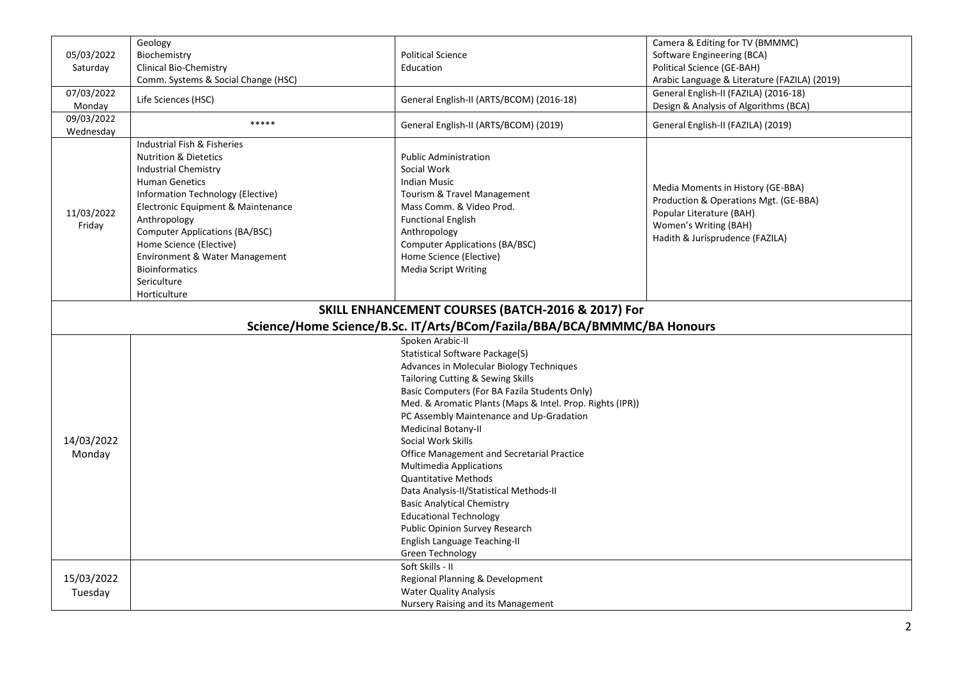| 05/03/2022<br>Saturday  | Geology<br>Biochemistry<br><b>Clinical Bio-Chemistry</b><br>Comm. Systems & Social Change (HSC)                                                                                                                                                                                                                                                                                                                                                                                                                                                                                                                                                                                                     | <b>Political Science</b><br>Education                                                                                                                                                                                                                                         | Camera & Editing for TV (BMMMC)<br>Software Engineering (BCA)<br>Political Science (GE-BAH)<br>Arabic Language & Literature (FAZILA) (2019)                        |  |  |  |
|-------------------------|-----------------------------------------------------------------------------------------------------------------------------------------------------------------------------------------------------------------------------------------------------------------------------------------------------------------------------------------------------------------------------------------------------------------------------------------------------------------------------------------------------------------------------------------------------------------------------------------------------------------------------------------------------------------------------------------------------|-------------------------------------------------------------------------------------------------------------------------------------------------------------------------------------------------------------------------------------------------------------------------------|--------------------------------------------------------------------------------------------------------------------------------------------------------------------|--|--|--|
| 07/03/2022<br>Monday    | Life Sciences (HSC)                                                                                                                                                                                                                                                                                                                                                                                                                                                                                                                                                                                                                                                                                 | General English-II (ARTS/BCOM) (2016-18)                                                                                                                                                                                                                                      | General English-II (FAZILA) (2016-18)<br>Design & Analysis of Algorithms (BCA)                                                                                     |  |  |  |
| 09/03/2022<br>Wednesday | *****                                                                                                                                                                                                                                                                                                                                                                                                                                                                                                                                                                                                                                                                                               | General English-II (ARTS/BCOM) (2019)                                                                                                                                                                                                                                         | General English-II (FAZILA) (2019)                                                                                                                                 |  |  |  |
| 11/03/2022<br>Friday    | Industrial Fish & Fisheries<br><b>Nutrition &amp; Dietetics</b><br><b>Industrial Chemistry</b><br><b>Human Genetics</b><br>Information Technology (Elective)<br>Electronic Equipment & Maintenance<br>Anthropology<br><b>Computer Applications (BA/BSC)</b><br>Home Science (Elective)<br>Environment & Water Management<br><b>Bioinformatics</b><br>Sericulture<br>Horticulture                                                                                                                                                                                                                                                                                                                    | <b>Public Administration</b><br>Social Work<br><b>Indian Music</b><br>Tourism & Travel Management<br>Mass Comm. & Video Prod.<br><b>Functional English</b><br>Anthropology<br><b>Computer Applications (BA/BSC)</b><br>Home Science (Elective)<br><b>Media Script Writing</b> | Media Moments in History (GE-BBA)<br>Production & Operations Mgt. (GE-BBA)<br>Popular Literature (BAH)<br>Women's Writing (BAH)<br>Hadith & Jurisprudence (FAZILA) |  |  |  |
|                         | SKILL ENHANCEMENT COURSES (BATCH-2016 & 2017) For<br>Science/Home Science/B.Sc. IT/Arts/BCom/Fazila/BBA/BCA/BMMMC/BA Honours                                                                                                                                                                                                                                                                                                                                                                                                                                                                                                                                                                        |                                                                                                                                                                                                                                                                               |                                                                                                                                                                    |  |  |  |
| 14/03/2022<br>Monday    | Spoken Arabic-II<br>Statistical Software Package(S)<br>Advances in Molecular Biology Techniques<br>Tailoring Cutting & Sewing Skills<br>Basic Computers (For BA Fazila Students Only)<br>Med. & Aromatic Plants (Maps & Intel. Prop. Rights (IPR))<br>PC Assembly Maintenance and Up-Gradation<br><b>Medicinal Botany-II</b><br>Social Work Skills<br>Office Management and Secretarial Practice<br><b>Multimedia Applications</b><br><b>Quantitative Methods</b><br>Data Analysis-II/Statistical Methods-II<br><b>Basic Analytical Chemistry</b><br><b>Educational Technology</b><br>Public Opinion Survey Research<br>English Language Teaching-II<br><b>Green Technology</b><br>Soft Skills - II |                                                                                                                                                                                                                                                                               |                                                                                                                                                                    |  |  |  |
| 15/03/2022<br>Tuesday   | Regional Planning & Development<br><b>Water Quality Analysis</b><br>Nursery Raising and its Management                                                                                                                                                                                                                                                                                                                                                                                                                                                                                                                                                                                              |                                                                                                                                                                                                                                                                               |                                                                                                                                                                    |  |  |  |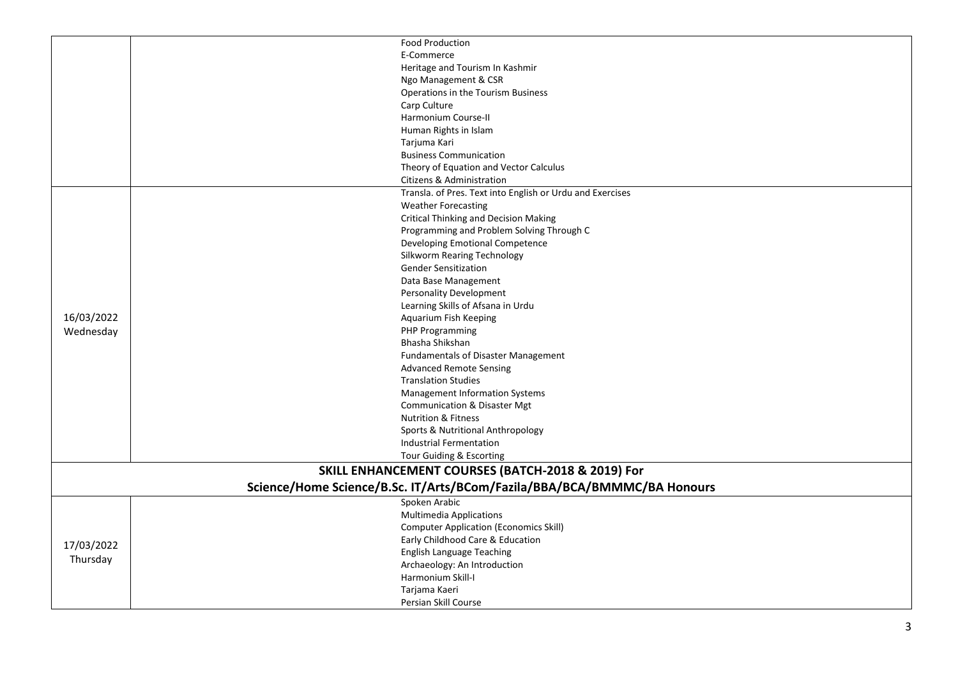|                                                                         | <b>Food Production</b>                                    |  |  |
|-------------------------------------------------------------------------|-----------------------------------------------------------|--|--|
|                                                                         | E-Commerce                                                |  |  |
|                                                                         | Heritage and Tourism In Kashmir                           |  |  |
|                                                                         | Ngo Management & CSR                                      |  |  |
|                                                                         | Operations in the Tourism Business                        |  |  |
|                                                                         | Carp Culture                                              |  |  |
|                                                                         | Harmonium Course-II                                       |  |  |
|                                                                         | Human Rights in Islam                                     |  |  |
|                                                                         | Tarjuma Kari                                              |  |  |
|                                                                         | <b>Business Communication</b>                             |  |  |
|                                                                         | Theory of Equation and Vector Calculus                    |  |  |
|                                                                         | Citizens & Administration                                 |  |  |
|                                                                         | Transla. of Pres. Text into English or Urdu and Exercises |  |  |
|                                                                         | <b>Weather Forecasting</b>                                |  |  |
|                                                                         | <b>Critical Thinking and Decision Making</b>              |  |  |
|                                                                         | Programming and Problem Solving Through C                 |  |  |
|                                                                         | Developing Emotional Competence                           |  |  |
|                                                                         | Silkworm Rearing Technology                               |  |  |
|                                                                         | <b>Gender Sensitization</b>                               |  |  |
|                                                                         | Data Base Management                                      |  |  |
|                                                                         | <b>Personality Development</b>                            |  |  |
|                                                                         | Learning Skills of Afsana in Urdu                         |  |  |
| 16/03/2022                                                              | Aquarium Fish Keeping                                     |  |  |
| Wednesday                                                               | <b>PHP Programming</b>                                    |  |  |
|                                                                         | Bhasha Shikshan                                           |  |  |
|                                                                         | <b>Fundamentals of Disaster Management</b>                |  |  |
|                                                                         | <b>Advanced Remote Sensing</b>                            |  |  |
|                                                                         | <b>Translation Studies</b>                                |  |  |
|                                                                         | <b>Management Information Systems</b>                     |  |  |
|                                                                         | <b>Communication &amp; Disaster Mgt</b>                   |  |  |
|                                                                         | <b>Nutrition &amp; Fitness</b>                            |  |  |
|                                                                         | Sports & Nutritional Anthropology                         |  |  |
|                                                                         | <b>Industrial Fermentation</b>                            |  |  |
|                                                                         | Tour Guiding & Escorting                                  |  |  |
|                                                                         | SKILL ENHANCEMENT COURSES (BATCH-2018 & 2019) For         |  |  |
| Science/Home Science/B.Sc. IT/Arts/BCom/Fazila/BBA/BCA/BMMMC/BA Honours |                                                           |  |  |
|                                                                         | Spoken Arabic                                             |  |  |
|                                                                         | <b>Multimedia Applications</b>                            |  |  |
| 17/03/2022<br>Thursday                                                  | <b>Computer Application (Economics Skill)</b>             |  |  |
|                                                                         | Early Childhood Care & Education                          |  |  |
|                                                                         | <b>English Language Teaching</b>                          |  |  |
|                                                                         | Archaeology: An Introduction                              |  |  |
|                                                                         | Harmonium Skill-I                                         |  |  |
|                                                                         | Tarjama Kaeri                                             |  |  |
|                                                                         | Persian Skill Course                                      |  |  |
|                                                                         |                                                           |  |  |